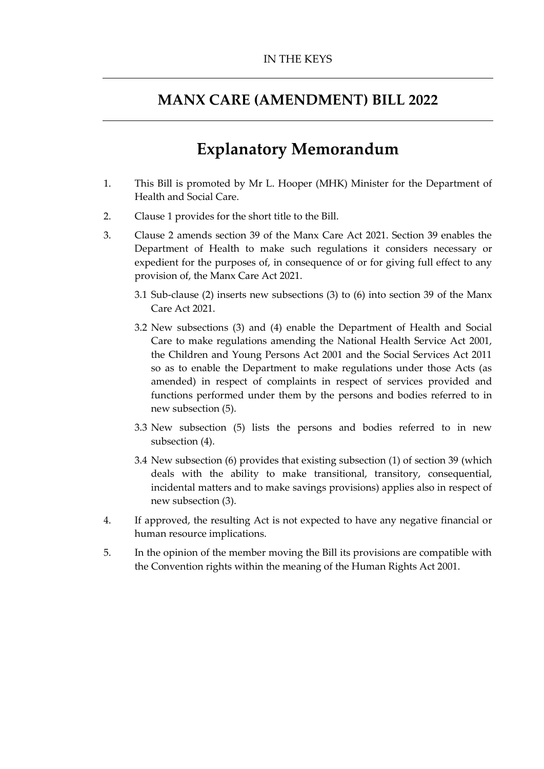### **MANX CARE (AMENDMENT) BILL 2022**

# **Explanatory Memorandum**

- 1. This Bill is promoted by Mr L. Hooper (MHK) Minister for the Department of Health and Social Care.
- 2. Clause 1 provides for the short title to the Bill.
- 3. Clause 2 amends section 39 of the Manx Care Act 2021. Section 39 enables the Department of Health to make such regulations it considers necessary or expedient for the purposes of, in consequence of or for giving full effect to any provision of, the Manx Care Act 2021.
	- 3.1 Sub-clause (2) inserts new subsections (3) to (6) into section 39 of the Manx Care Act 2021
	- 3.2 New subsections (3) and (4) enable the Department of Health and Social Care to make regulations amending the National Health Service Act 2001, the Children and Young Persons Act 2001 and the Social Services Act 2011 so as to enable the Department to make regulations under those Acts (as amended) in respect of complaints in respect of services provided and functions performed under them by the persons and bodies referred to in new subsection (5).
	- 3.3 New subsection (5) lists the persons and bodies referred to in new subsection (4).
	- 3.4 New subsection (6) provides that existing subsection (1) of section 39 (which deals with the ability to make transitional, transitory, consequential, incidental matters and to make savings provisions) applies also in respect of new subsection (3).
- 4. If approved, the resulting Act is not expected to have any negative financial or human resource implications.
- 5. In the opinion of the member moving the Bill its provisions are compatible with the Convention rights within the meaning of the Human Rights Act 2001.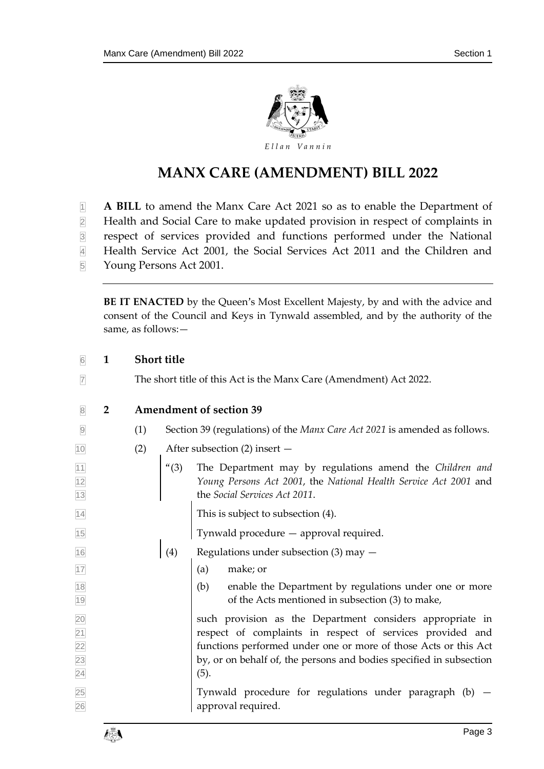

## **MANX CARE (AMENDMENT) BILL 2022**

- **A BILL** to amend the Manx Care Act 2021 so as to enable the Department of
- Health and Social Care to make updated provision in respect of complaints in
- respect of services provided and functions performed under the National
- Health Service Act 2001, the Social Services Act 2011 and the Children and
- Young Persons Act 2001.

**BE IT ENACTED** by the Queen's Most Excellent Majesty, by and with the advice and consent of the Council and Keys in Tynwald assembled, and by the authority of the same, as follows:—

#### **1 Short title**

The short title of this Act is the Manx Care (Amendment) Act 2022.

#### **2 Amendment of section 39**

- (1) Section 39 (regulations) of the *Manx Care Act 2021* is amended as follows.
- (2) After subsection (2) insert —
- "(3) The Department may by regulations amend the *Children and Young Persons Act 2001*, the *National Health Service Act 2001* and the *Social Services Act 2011*.

14 This is subject to subsection (4).

Tynwald procedure — approval required.

- $\boxed{16}$  (4) Regulations under subsection (3) may  $-$
- (a) make; or
- (b) enable the Department by regulations under one or more 19 19 of the Acts mentioned in subsection (3) to make,

 such provision as the Department considers appropriate in respect of complaints in respect of services provided and functions performed under one or more of those Acts or this Act by, or on behalf of, the persons and bodies specified in subsection (5).

 Tynwald procedure for regulations under paragraph (b) — approval required.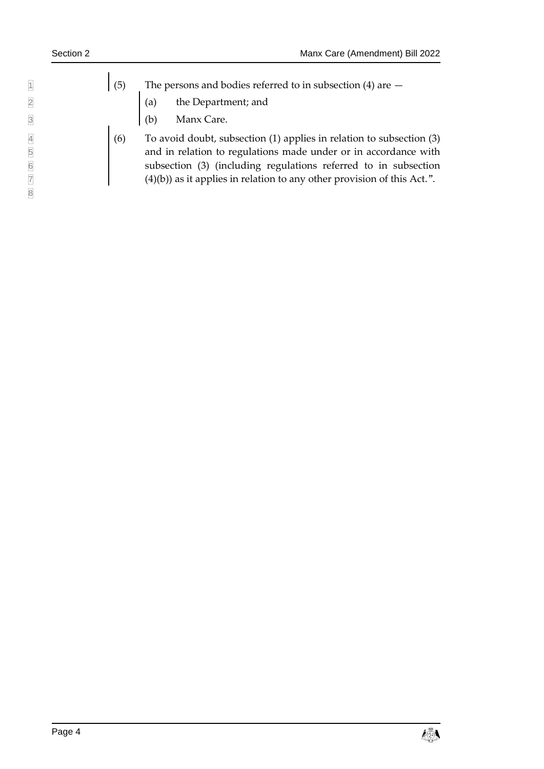| (5) |     | The persons and bodies referred to in subsection $(4)$ are $-$ |
|-----|-----|----------------------------------------------------------------|
|     |     | (a) the Department; and                                        |
|     | (b) | Manx Care.                                                     |

 $(6)$  To avoid doubt, subsection  $(1)$  applies in relation to subsection  $(3)$ and in relation to regulations made under or in accordance with subsection (3) (including regulations referred to in subsection  $(4)(b)$ ) as it applies in relation to any other provision of this Act.".